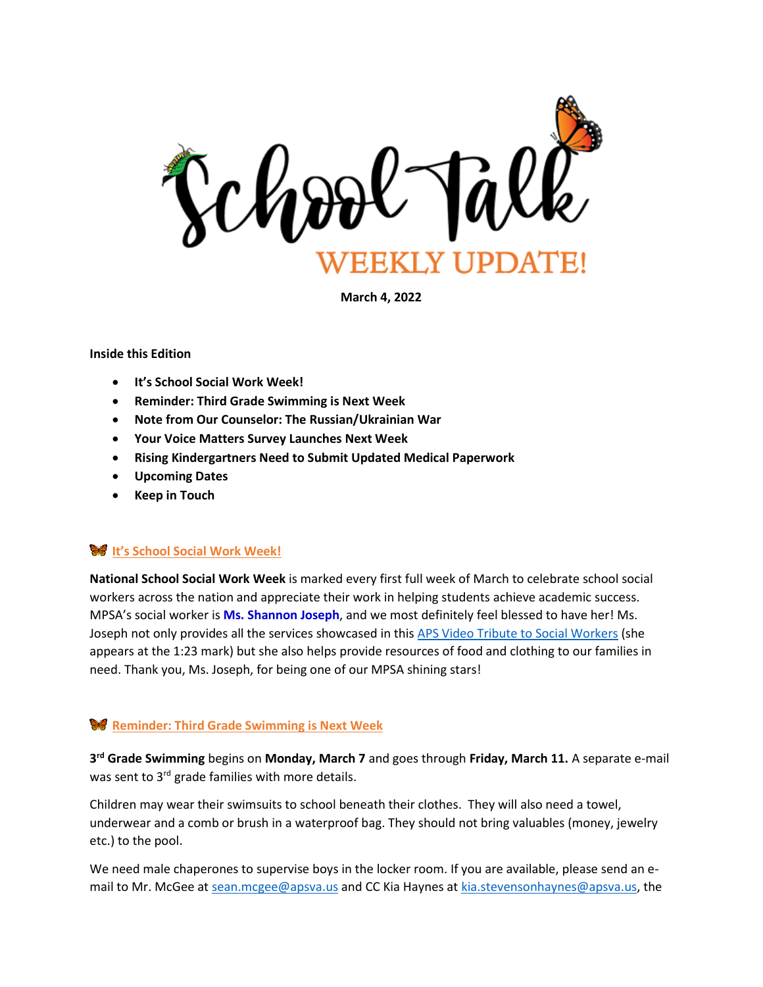

**March 4, 2022**

### **Inside this Edition**

- **It's School Social Work Week!**
- **Reminder: Third Grade Swimming is Next Week**
- **Note from Our Counselor: The Russian/Ukrainian War**
- **Your Voice Matters Survey Launches Next Week**
- **Rising Kindergartners Need to Submit Updated Medical Paperwork**
- **Upcoming Dates**
- **Keep in Touch**

## **It's School Social Work Week!**

**National School Social Work Week** is marked every first full week of March to celebrate school social workers across the nation and appreciate their work in helping students achieve academic success. MPSA's social worker is **Ms. Shannon Joseph**, and we most definitely feel blessed to have her! Ms. Joseph not only provides all the services showcased in this [APS Video Tribute to Social Workers](https://vimeo.com/684317181/8ba7ef42df) (she appears at the 1:23 mark) but she also helps provide resources of food and clothing to our families in need. Thank you, Ms. Joseph, for being one of our MPSA shining stars!

## **Reminder: Third Grade Swimming is Next Week**

**3 rd Grade Swimming** begins on **Monday, March 7** and goes through **Friday, March 11.** A separate e-mail was sent to 3<sup>rd</sup> grade families with more details.

Children may wear their swimsuits to school beneath their clothes. They will also need a towel, underwear and a comb or brush in a waterproof bag. They should not bring valuables (money, jewelry etc.) to the pool.

We need male chaperones to supervise boys in the locker room. If you are available, please send an email to Mr. McGee at [sean.mcgee@apsva.us](mailto:sean.mcgee@apsva.us) and CC Kia Haynes at [kia.stevensonhaynes@apsva.us,](mailto:kia.stevensonhaynes@apsva.us) the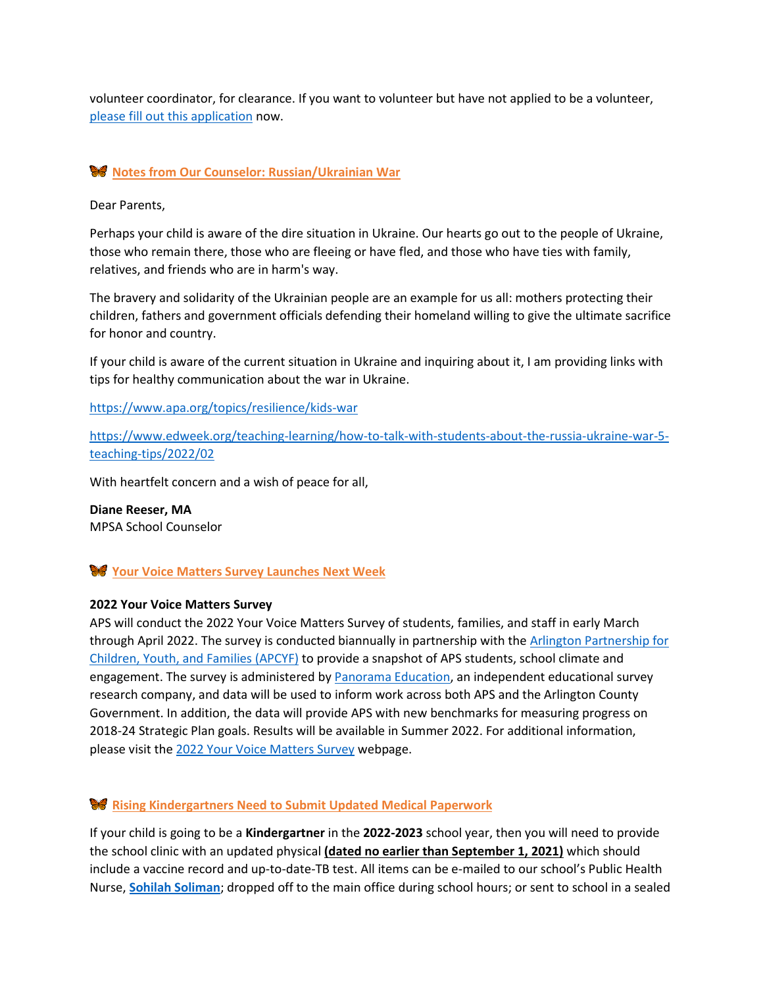volunteer coordinator, for clearance. If you want to volunteer but have not applied to be a volunteer, [please fill out this application](https://apps.raptortech.com/Apply/MjQyMDplbi1VUw==) now.

## **Notes from Our Counselor: Russian/Ukrainian War**

Dear Parents,

Perhaps your child is aware of the dire situation in Ukraine. Our hearts go out to the people of Ukraine, those who remain there, those who are fleeing or have fled, and those who have ties with family, relatives, and friends who are in harm's way.

The bravery and solidarity of the Ukrainian people are an example for us all: mothers protecting their children, fathers and government officials defending their homeland willing to give the ultimate sacrifice for honor and country.

If your child is aware of the current situation in Ukraine and inquiring about it, I am providing links with tips for healthy communication about the war in Ukraine.

<https://www.apa.org/topics/resilience/kids-war>

[https://www.edweek.org/teaching-learning/how-to-talk-with-students-about-the-russia-ukraine-war-5](https://www.edweek.org/teaching-learning/how-to-talk-with-students-about-the-russia-ukraine-war-5-teaching-tips/2022/02) [teaching-tips/2022/02](https://www.edweek.org/teaching-learning/how-to-talk-with-students-about-the-russia-ukraine-war-5-teaching-tips/2022/02)

With heartfelt concern and a wish of peace for all,

**Diane Reeser, MA** MPSA School Counselor

## **Your Voice Matters Survey Launches Next Week**

#### **2022 Your Voice Matters Survey**

APS will conduct the 2022 Your Voice Matters Survey of students, families, and staff in early March through April 2022. The survey is conducted biannually in partnership with the [Arlington Partnership for](http://track.spe.schoolmessenger.com/f/a/6MfaDO-UVYlYLWv77rBNIg~~/AAAAAQA~/RgRj-TXFP0QdaHR0cHM6Ly9hcGN5Zi5hcmxpbmd0b252YS51cy9XB3NjaG9vbG1CCmIWRQIYYkWfA3xSHGtpYS5zdGV2ZW5zb25oYXluZXNAYXBzdmEudXNYBAAAAAE~)  [Children, Youth, and](http://track.spe.schoolmessenger.com/f/a/6MfaDO-UVYlYLWv77rBNIg~~/AAAAAQA~/RgRj-TXFP0QdaHR0cHM6Ly9hcGN5Zi5hcmxpbmd0b252YS51cy9XB3NjaG9vbG1CCmIWRQIYYkWfA3xSHGtpYS5zdGV2ZW5zb25oYXluZXNAYXBzdmEudXNYBAAAAAE~) Families (APCYF) to provide a snapshot of APS students, school climate and engagement. The survey is administered b[y Panorama Education,](http://track.spe.schoolmessenger.com/f/a/RUzwcf1MSMc6YYYlXEY7IA~~/AAAAAQA~/RgRj-TXFP0QbaHR0cHM6Ly93d3cucGFub3JhbWFlZC5jb20vVwdzY2hvb2xtQgpiFkUCGGJFnwN8UhxraWEuc3RldmVuc29uaGF5bmVzQGFwc3ZhLnVzWAQAAAAB) an independent educational survey research company, and data will be used to inform work across both APS and the Arlington County Government. In addition, the data will provide APS with new benchmarks for measuring progress on 2018-24 Strategic Plan goals. Results will be available in Summer 2022. For additional information, please visit the [2022 Your Voice Matters Survey](http://track.spe.schoolmessenger.com/f/a/rCo1JySISI_NIdpZnvSuMA~~/AAAAAQA~/RgRj-TXFP0Q7aHR0cHM6Ly93d3cuYXBzdmEudXMvZW5nYWdlL3lvdXItdm9pY2UtbWF0dGVycy1zdXJ2ZXktMjAyMi9XB3NjaG9vbG1CCmIWRQIYYkWfA3xSHGtpYS5zdGV2ZW5zb25oYXluZXNAYXBzdmEudXNYBAAAAAE~) webpage.

## **Rising Kindergartners Need to Submit Updated Medical Paperwork**

If your child is going to be a **Kindergartner** in the **2022-2023** school year, then you will need to provide the school clinic with an updated physical **(dated no earlier than September 1, 2021)** which should include a vaccine record and up-to-date-TB test. All items can be e-mailed to our school's Public Health Nurse, **[Sohilah Soliman](mailto:ssoliman@arlingtonva.us)**; dropped off to the main office during school hours; or sent to school in a sealed